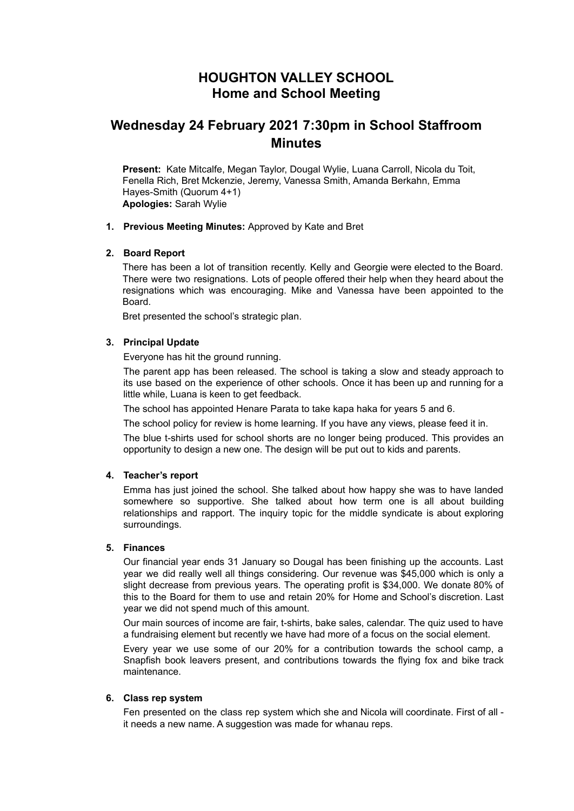## **HOUGHTON VALLEY SCHOOL Home and School Meeting**

# **Wednesday 24 February 2021 7:30pm in School Staffroom Minutes**

**Present:** Kate Mitcalfe, Megan Taylor, Dougal Wylie, Luana Carroll, Nicola du Toit, Fenella Rich, Bret Mckenzie, Jeremy, Vanessa Smith, Amanda Berkahn, Emma Hayes-Smith (Quorum 4+1) **Apologies:** Sarah Wylie

## **1. Previous Meeting Minutes:** Approved by Kate and Bret

## **2. Board Report**

There has been a lot of transition recently. Kelly and Georgie were elected to the Board. There were two resignations. Lots of people offered their help when they heard about the resignations which was encouraging. Mike and Vanessa have been appointed to the Board.

Bret presented the school's strategic plan.

## **3. Principal Update**

Everyone has hit the ground running.

The parent app has been released. The school is taking a slow and steady approach to its use based on the experience of other schools. Once it has been up and running for a little while, Luana is keen to get feedback.

The school has appointed Henare Parata to take kapa haka for years 5 and 6.

The school policy for review is home learning. If you have any views, please feed it in.

The blue t-shirts used for school shorts are no longer being produced. This provides an opportunity to design a new one. The design will be put out to kids and parents.

#### **4. Teacher's report**

Emma has just joined the school. She talked about how happy she was to have landed somewhere so supportive. She talked about how term one is all about building relationships and rapport. The inquiry topic for the middle syndicate is about exploring surroundings.

## **5. Finances**

Our financial year ends 31 January so Dougal has been finishing up the accounts. Last year we did really well all things considering. Our revenue was \$45,000 which is only a slight decrease from previous years. The operating profit is \$34,000. We donate 80% of this to the Board for them to use and retain 20% for Home and School's discretion. Last year we did not spend much of this amount.

Our main sources of income are fair, t-shirts, bake sales, calendar. The quiz used to have a fundraising element but recently we have had more of a focus on the social element.

Every year we use some of our 20% for a contribution towards the school camp, a Snapfish book leavers present, and contributions towards the flying fox and bike track maintenance.

#### **6. Class rep system**

Fen presented on the class rep system which she and Nicola will coordinate. First of all it needs a new name. A suggestion was made for whanau reps.